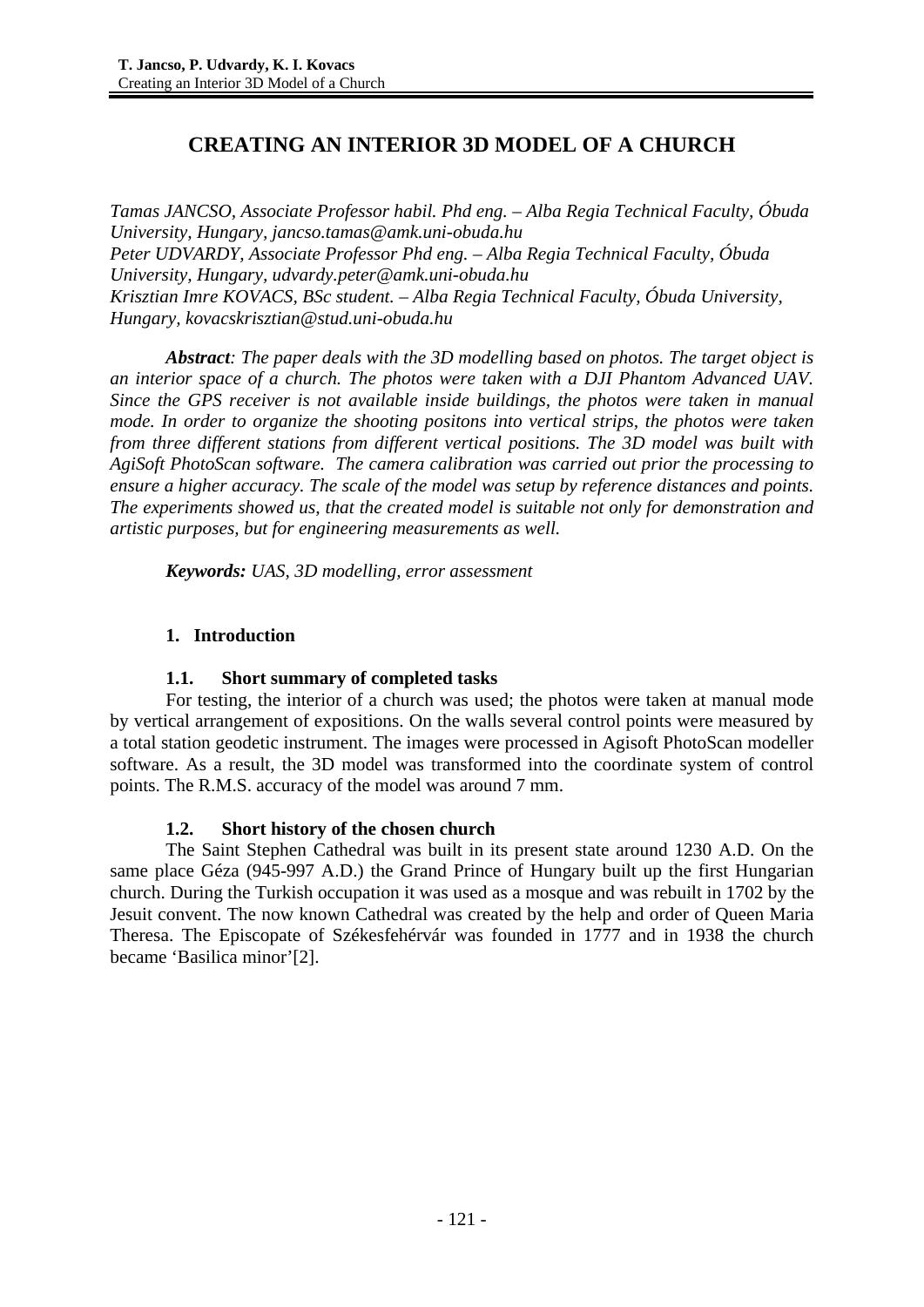# **CREATING AN INTERIOR 3D MODEL OF A CHURCH**

*Tamas JANCSO, Associate Professor habil. Phd eng. – Alba Regia Technical Faculty, Óbuda University, Hungary, jancso.tamas@amk.uni-obuda.hu Peter UDVARDY, Associate Professor Phd eng. – Alba Regia Technical Faculty, Óbuda University, Hungary, udvardy.peter@amk.uni-obuda.hu Krisztian Imre KOVACS, BSc student. – Alba Regia Technical Faculty, Óbuda University, Hungary, kovacskrisztian@stud.uni-obuda.hu* 

*Abstract: The paper deals with the 3D modelling based on photos. The target object is an interior space of a church. The photos were taken with a DJI Phantom Advanced UAV. Since the GPS receiver is not available inside buildings, the photos were taken in manual mode. In order to organize the shooting positons into vertical strips, the photos were taken from three different stations from different vertical positions. The 3D model was built with AgiSoft PhotoScan software. The camera calibration was carried out prior the processing to ensure a higher accuracy. The scale of the model was setup by reference distances and points. The experiments showed us, that the created model is suitable not only for demonstration and artistic purposes, but for engineering measurements as well.* 

*Keywords: UAS, 3D modelling, error assessment* 

# **1. Introduction**

# **1.1. Short summary of completed tasks**

For testing, the interior of a church was used; the photos were taken at manual mode by vertical arrangement of expositions. On the walls several control points were measured by a total station geodetic instrument. The images were processed in Agisoft PhotoScan modeller software. As a result, the 3D model was transformed into the coordinate system of control points. The R.M.S. accuracy of the model was around 7 mm.

# **1.2. Short history of the chosen church**

The Saint Stephen Cathedral was built in its present state around 1230 A.D. On the same place Géza (945-997 A.D.) the Grand Prince of Hungary built up the first Hungarian church. During the Turkish occupation it was used as a mosque and was rebuilt in 1702 by the Jesuit convent. The now known Cathedral was created by the help and order of Queen Maria Theresa. The Episcopate of Székesfehérvár was founded in 1777 and in 1938 the church became 'Basilica minor'[2].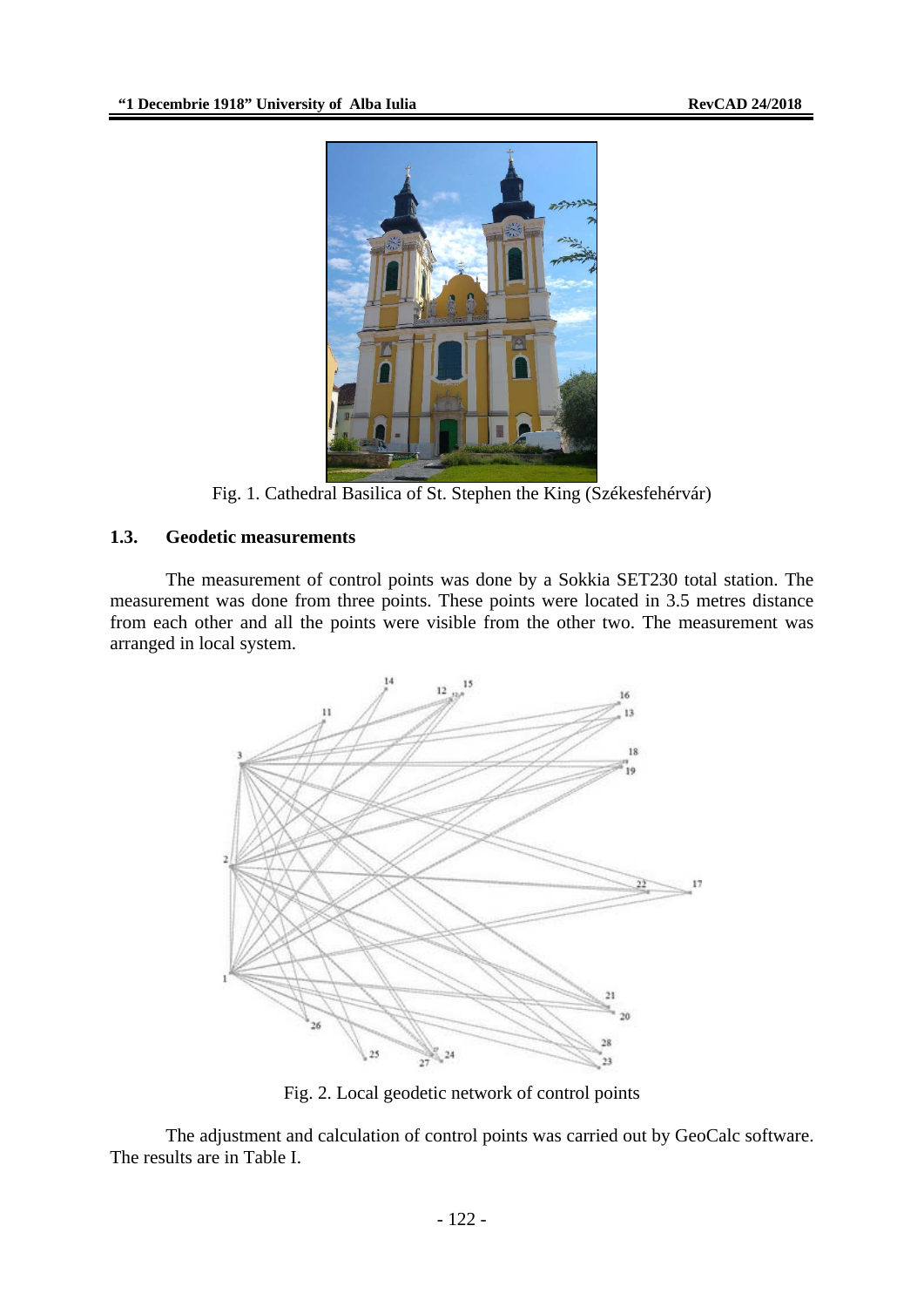

Fig. 1. Cathedral Basilica of St. Stephen the King (Székesfehérvár)

# **1.3. Geodetic measurements**

The measurement of control points was done by a Sokkia SET230 total station. The measurement was done from three points. These points were located in 3.5 metres distance from each other and all the points were visible from the other two. The measurement was arranged in local system.



Fig. 2. Local geodetic network of control points

The adjustment and calculation of control points was carried out by GeoCalc software. The results are in Table I.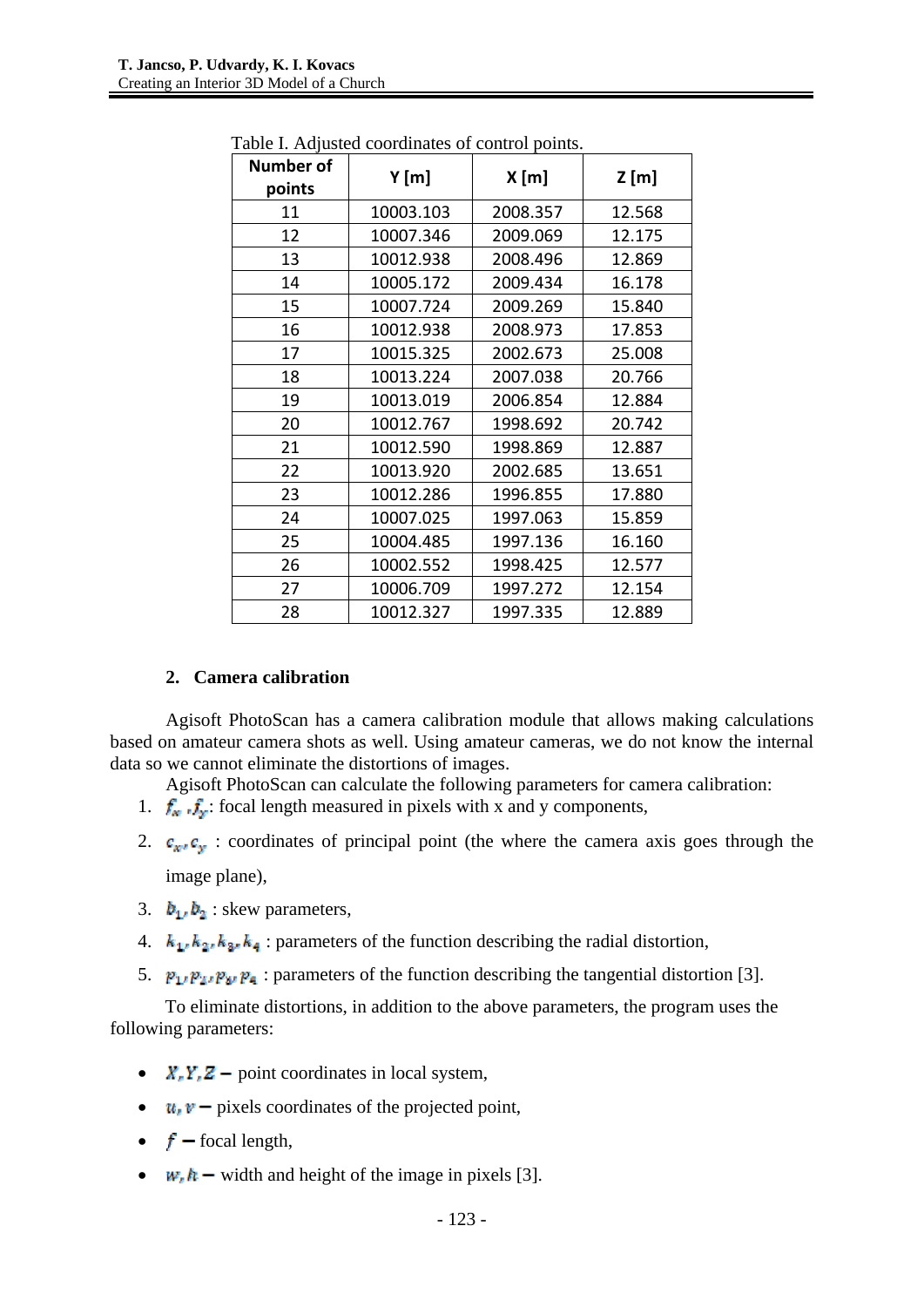| <b>Number of</b><br>points | Y[m]      | X[m]     | Z[m]   |  |
|----------------------------|-----------|----------|--------|--|
| 11                         | 10003.103 | 2008.357 | 12.568 |  |
| 12                         | 10007.346 | 2009.069 | 12.175 |  |
| 13                         | 10012.938 | 2008.496 | 12.869 |  |
| 14                         | 10005.172 | 2009.434 | 16.178 |  |
| 15                         | 10007.724 | 2009.269 | 15.840 |  |
| 16                         | 10012.938 | 2008.973 | 17.853 |  |
| 17                         | 10015.325 | 2002.673 | 25.008 |  |
| 18                         | 10013.224 | 2007.038 | 20.766 |  |
| 19                         | 10013.019 | 2006.854 | 12.884 |  |
| 20                         | 10012.767 | 1998.692 | 20.742 |  |
| 21                         | 10012.590 | 1998.869 | 12.887 |  |
| 22                         | 10013.920 | 2002.685 | 13.651 |  |
| 23                         | 10012.286 | 1996.855 | 17.880 |  |
| 24                         | 10007.025 | 1997.063 | 15.859 |  |
| 25                         | 10004.485 | 1997.136 | 16.160 |  |
| 26                         | 10002.552 | 1998.425 | 12.577 |  |
| 27                         | 10006.709 | 1997.272 | 12.154 |  |
| 28                         | 10012.327 | 1997.335 | 12.889 |  |

Table I. Adjusted coordinates of control points.

# **2. Camera calibration**

Agisoft PhotoScan has a camera calibration module that allows making calculations based on amateur camera shots as well. Using amateur cameras, we do not know the internal data so we cannot eliminate the distortions of images.

Agisoft PhotoScan can calculate the following parameters for camera calibration:

- 1.  $f_{w}$ ,  $f_{w}$ : focal length measured in pixels with x and y components,
- 2.  $\mathbf{c}_{\mathbf{x} \cdot \mathbf{x}} \mathbf{c}_{\mathbf{x}}$ : coordinates of principal point (the where the camera axis goes through the image plane),
- 3.  $b_1$ ,  $b_2$  skew parameters,
- 4.  $k_1, k_2, k_3, k_4$ : parameters of the function describing the radial distortion,
- 5.  $\mathbf{p}_1, \mathbf{p}_2, \mathbf{p}_3, \mathbf{p}_4$ : parameters of the function describing the tangential distortion [3].

To eliminate distortions, in addition to the above parameters, the program uses the following parameters:

- $X, Y, Z$  point coordinates in local system,
- $u_i v$  pixels coordinates of the projected point,
- $f$  focal length,
- $w<sub>i</sub> h -$  width and height of the image in pixels [3].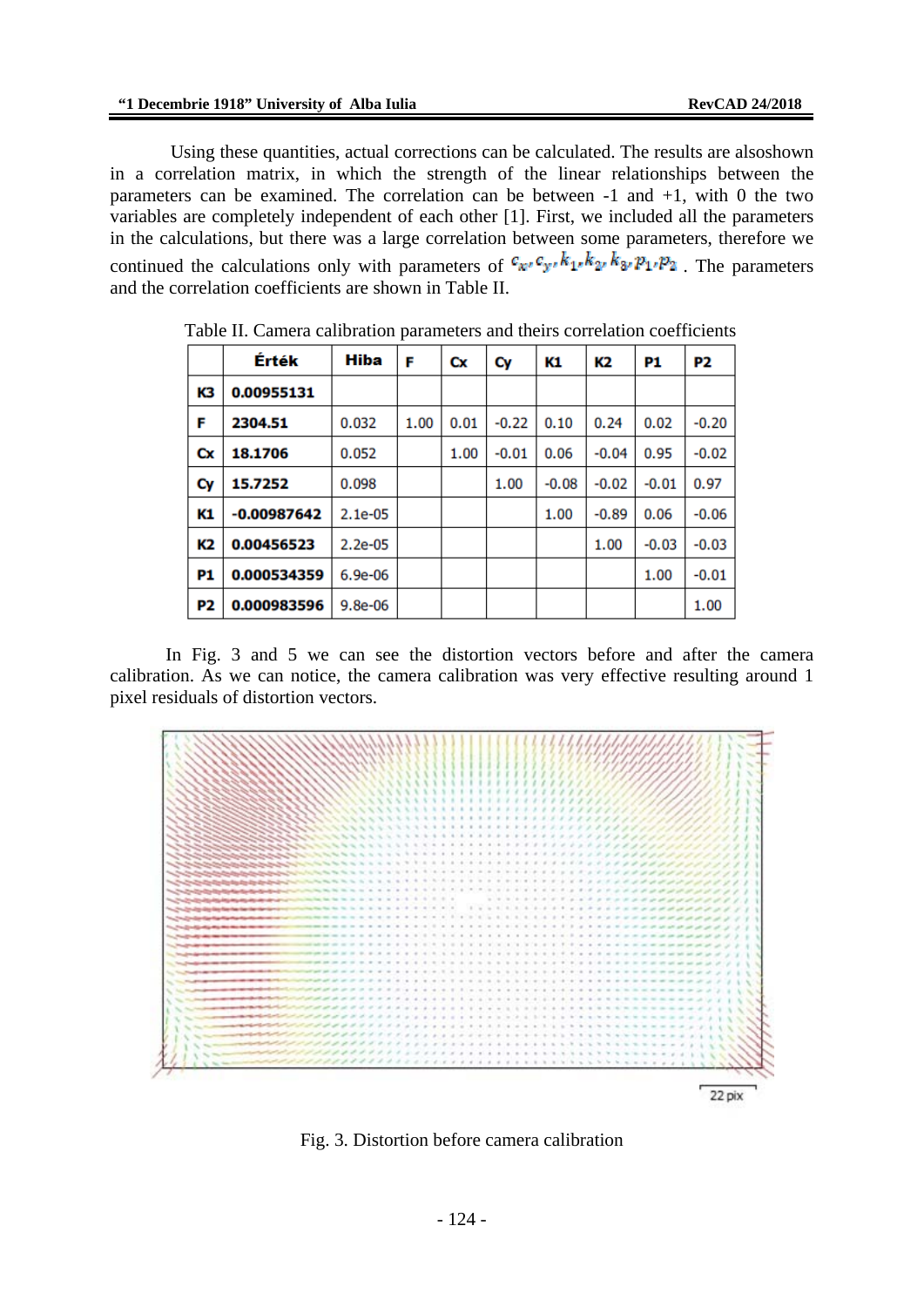Using these quantities, actual corrections can be calculated. The results are alsoshown in a correlation matrix, in which the strength of the linear relationships between the parameters can be examined. The correlation can be between  $-1$  and  $+1$ , with 0 the two variables are completely independent of each other [1]. First, we included all the parameters in the calculations, but there was a large correlation between some parameters, therefore we continued the calculations only with parameters of  $c_{x}, c_{y}, k_{1}, k_{2}, k_{3}, p_{1}, p_{2}$ . The parameters and the correlation coefficients are shown in Table II.

|                | Érték         | Hiba      | F    | Cx   | Cy      | K1      | K2      | P1      | P2      |
|----------------|---------------|-----------|------|------|---------|---------|---------|---------|---------|
| KЗ             | 0.00955131    |           |      |      |         |         |         |         |         |
| F              | 2304.51       | 0.032     | 1.00 | 0.01 | $-0.22$ | 0.10    | 0.24    | 0.02    | $-0.20$ |
| Cx             | 18.1706       | 0.052     |      | 1.00 | $-0.01$ | 0.06    | $-0.04$ | 0.95    | $-0.02$ |
| Cy             | 15.7252       | 0.098     |      |      | 1.00    | $-0.08$ | $-0.02$ | $-0.01$ | 0.97    |
| K1             | $-0.00987642$ | $2.1e-05$ |      |      |         | 1.00    | $-0.89$ | 0.06    | $-0.06$ |
| K2             | 0.00456523    | $2.2e-05$ |      |      |         |         | 1.00    | $-0.03$ | $-0.03$ |
| P1             | 0.000534359   | $6.9e-06$ |      |      |         |         |         | 1.00    | $-0.01$ |
| P <sub>2</sub> | 0.000983596   | $9.8e-06$ |      |      |         |         |         |         | 1.00    |

Table II. Camera calibration parameters and theirs correlation coefficients

In Fig. 3 and 5 we can see the distortion vectors before and after the camera calibration. As we can notice, the camera calibration was very effective resulting around 1 pixel residuals of distortion vectors.



Fig. 3. Distortion before camera calibration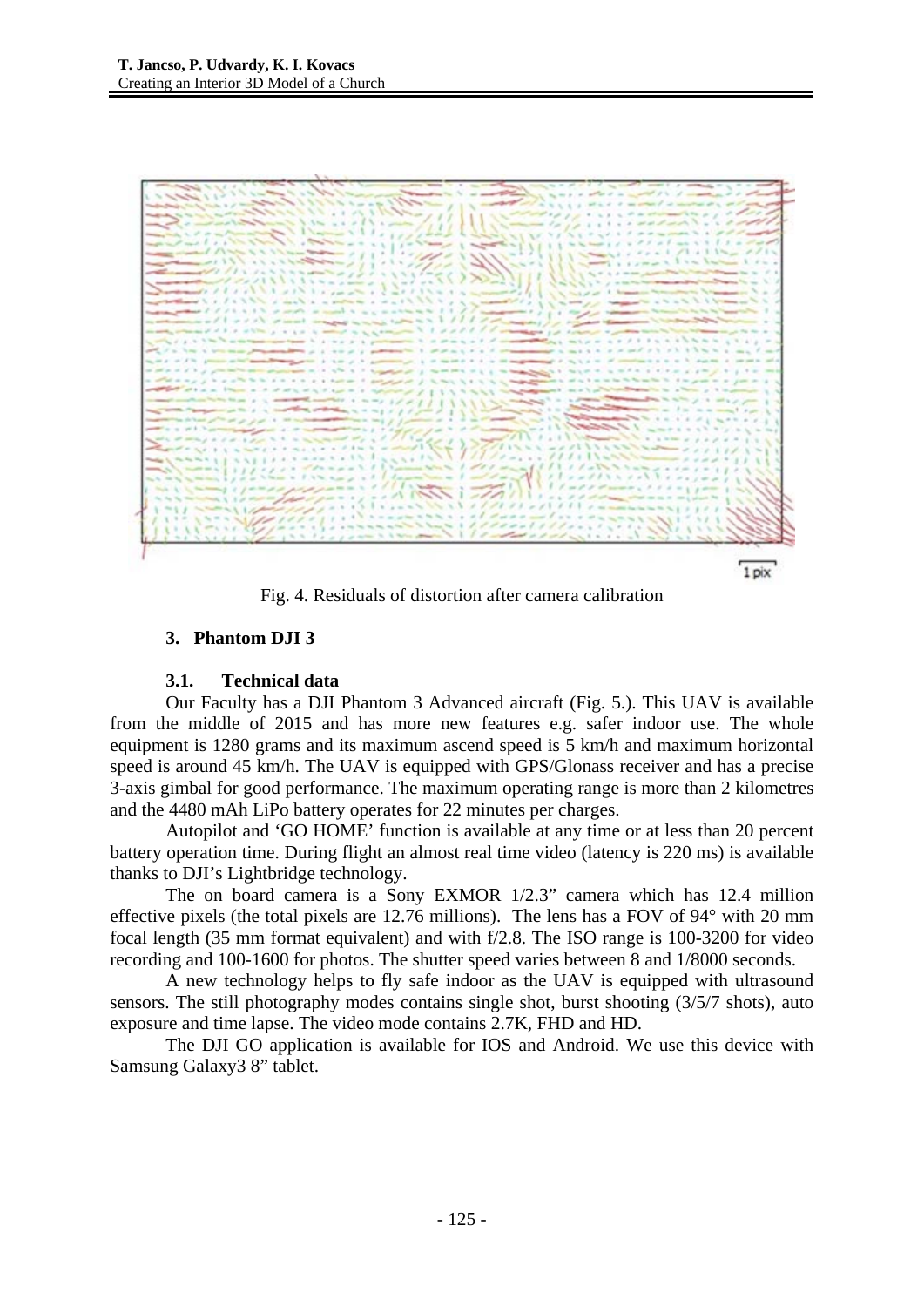

Fig. 4. Residuals of distortion after camera calibration

# **3. Phantom DJI 3**

# **3.1. Technical data**

Our Faculty has a DJI Phantom 3 Advanced aircraft (Fig. 5.). This UAV is available from the middle of 2015 and has more new features e.g. safer indoor use. The whole equipment is 1280 grams and its maximum ascend speed is 5 km/h and maximum horizontal speed is around 45 km/h. The UAV is equipped with GPS/Glonass receiver and has a precise 3-axis gimbal for good performance. The maximum operating range is more than 2 kilometres and the 4480 mAh LiPo battery operates for 22 minutes per charges.

Autopilot and 'GO HOME' function is available at any time or at less than 20 percent battery operation time. During flight an almost real time video (latency is 220 ms) is available thanks to DJI's Lightbridge technology.

The on board camera is a Sony EXMOR 1/2.3" camera which has 12.4 million effective pixels (the total pixels are 12.76 millions). The lens has a FOV of 94° with 20 mm focal length (35 mm format equivalent) and with f/2.8. The ISO range is 100-3200 for video recording and 100-1600 for photos. The shutter speed varies between 8 and 1/8000 seconds.

A new technology helps to fly safe indoor as the UAV is equipped with ultrasound sensors. The still photography modes contains single shot, burst shooting (3/5/7 shots), auto exposure and time lapse. The video mode contains 2.7K, FHD and HD.

The DJI GO application is available for IOS and Android. We use this device with Samsung Galaxy3 8" tablet.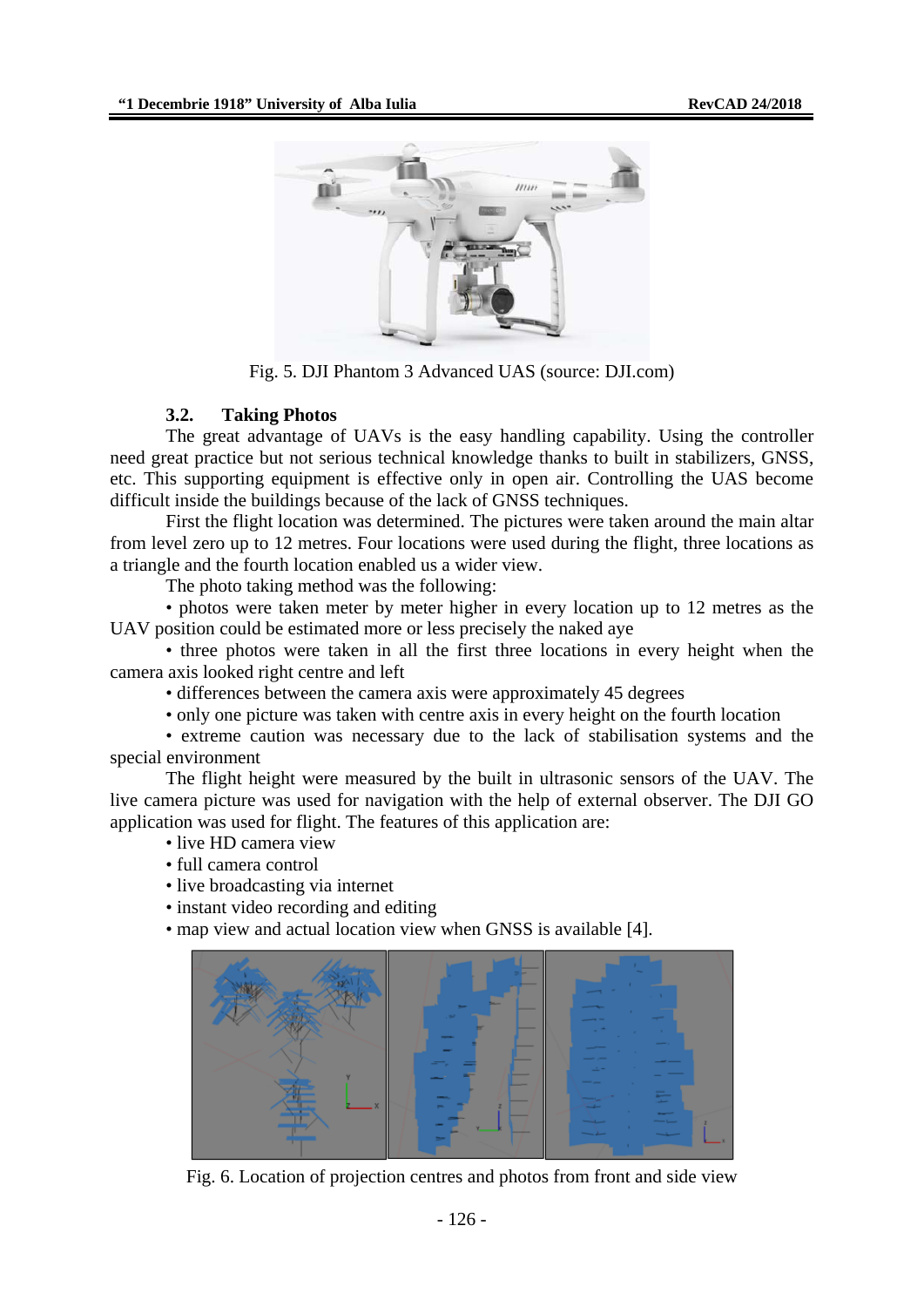

Fig. 5. DJI Phantom 3 Advanced UAS (source: DJI.com)

#### **3.2. Taking Photos**

The great advantage of UAVs is the easy handling capability. Using the controller need great practice but not serious technical knowledge thanks to built in stabilizers, GNSS, etc. This supporting equipment is effective only in open air. Controlling the UAS become difficult inside the buildings because of the lack of GNSS techniques.

First the flight location was determined. The pictures were taken around the main altar from level zero up to 12 metres. Four locations were used during the flight, three locations as a triangle and the fourth location enabled us a wider view.

The photo taking method was the following:

• photos were taken meter by meter higher in every location up to 12 metres as the UAV position could be estimated more or less precisely the naked aye

• three photos were taken in all the first three locations in every height when the camera axis looked right centre and left

• differences between the camera axis were approximately 45 degrees

• only one picture was taken with centre axis in every height on the fourth location

• extreme caution was necessary due to the lack of stabilisation systems and the special environment

The flight height were measured by the built in ultrasonic sensors of the UAV. The live camera picture was used for navigation with the help of external observer. The DJI GO application was used for flight. The features of this application are:

- live HD camera view
- full camera control
- live broadcasting via internet
- instant video recording and editing
- map view and actual location view when GNSS is available [4].



Fig. 6. Location of projection centres and photos from front and side view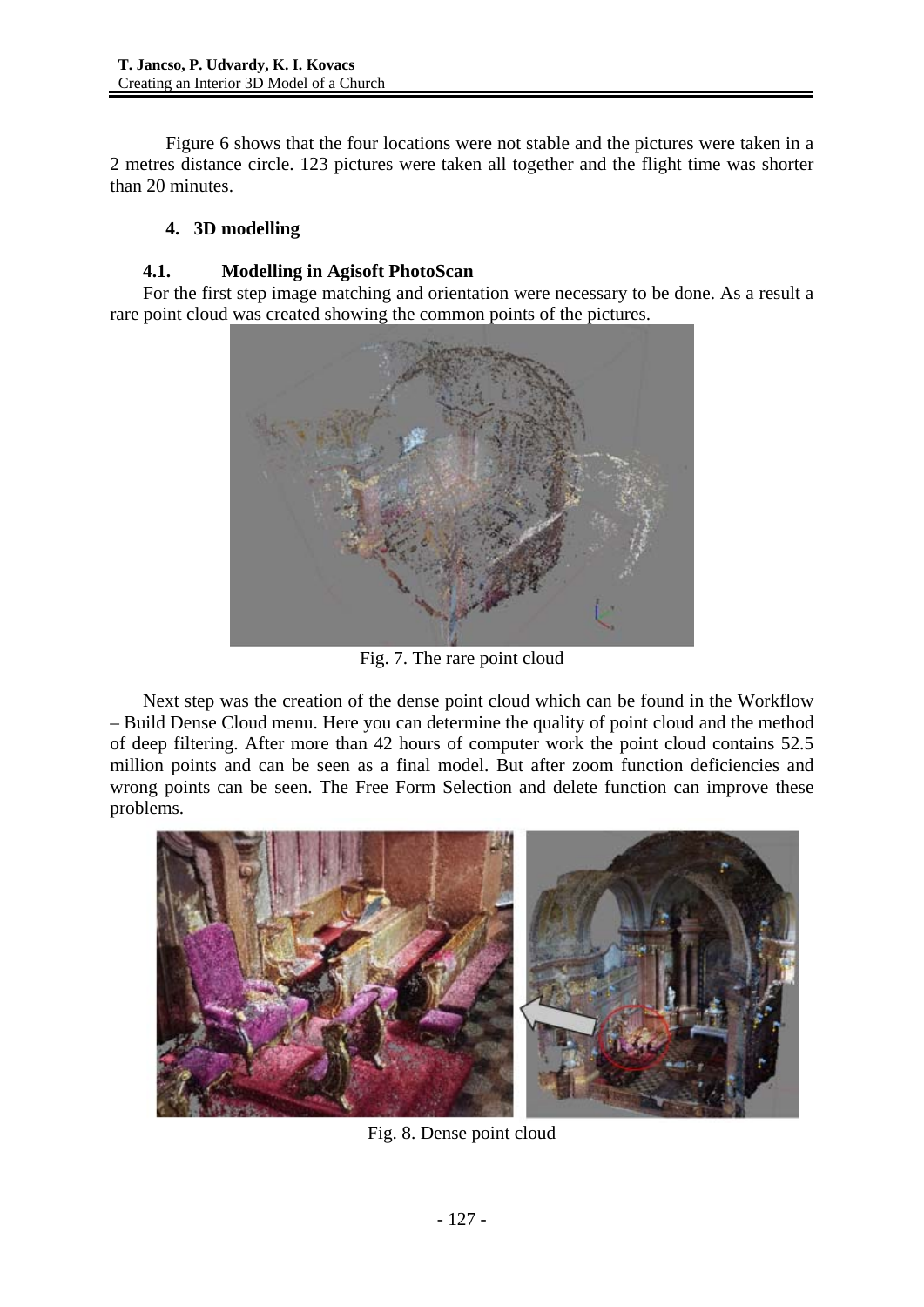Figure 6 shows that the four locations were not stable and the pictures were taken in a 2 metres distance circle. 123 pictures were taken all together and the flight time was shorter than 20 minutes.

# **4. 3D modelling**

# **4.1. Modelling in Agisoft PhotoScan**

For the first step image matching and orientation were necessary to be done. As a result a rare point cloud was created showing the common points of the pictures.



Fig. 7. The rare point cloud

Next step was the creation of the dense point cloud which can be found in the Workflow – Build Dense Cloud menu. Here you can determine the quality of point cloud and the method of deep filtering. After more than 42 hours of computer work the point cloud contains 52.5 million points and can be seen as a final model. But after zoom function deficiencies and wrong points can be seen. The Free Form Selection and delete function can improve these problems.



Fig. 8. Dense point cloud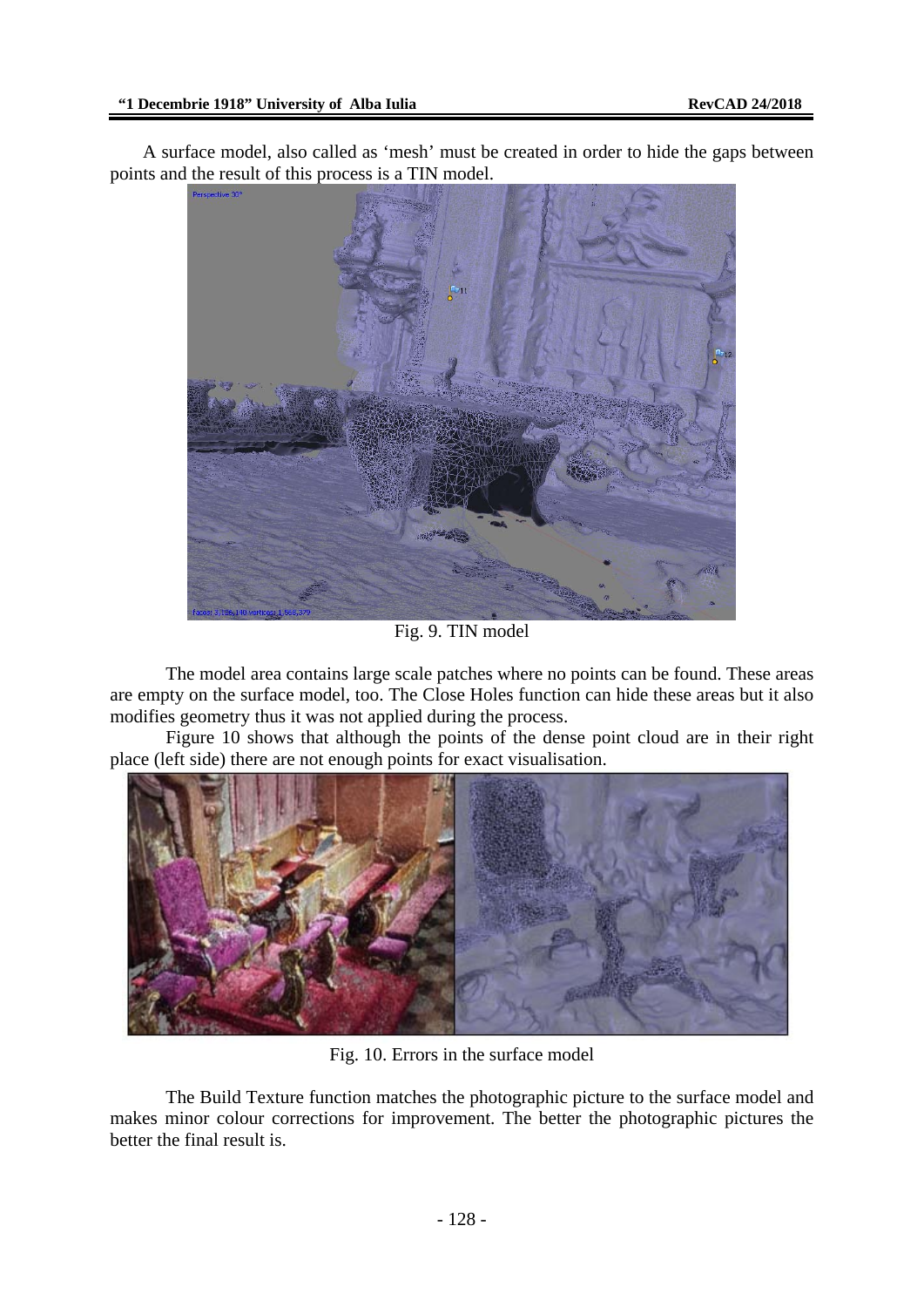A surface model, also called as 'mesh' must be created in order to hide the gaps between points and the result of this process is a TIN model.



Fig. 9. TIN model

The model area contains large scale patches where no points can be found. These areas are empty on the surface model, too. The Close Holes function can hide these areas but it also modifies geometry thus it was not applied during the process.

Figure 10 shows that although the points of the dense point cloud are in their right place (left side) there are not enough points for exact visualisation.



Fig. 10. Errors in the surface model

The Build Texture function matches the photographic picture to the surface model and makes minor colour corrections for improvement. The better the photographic pictures the better the final result is.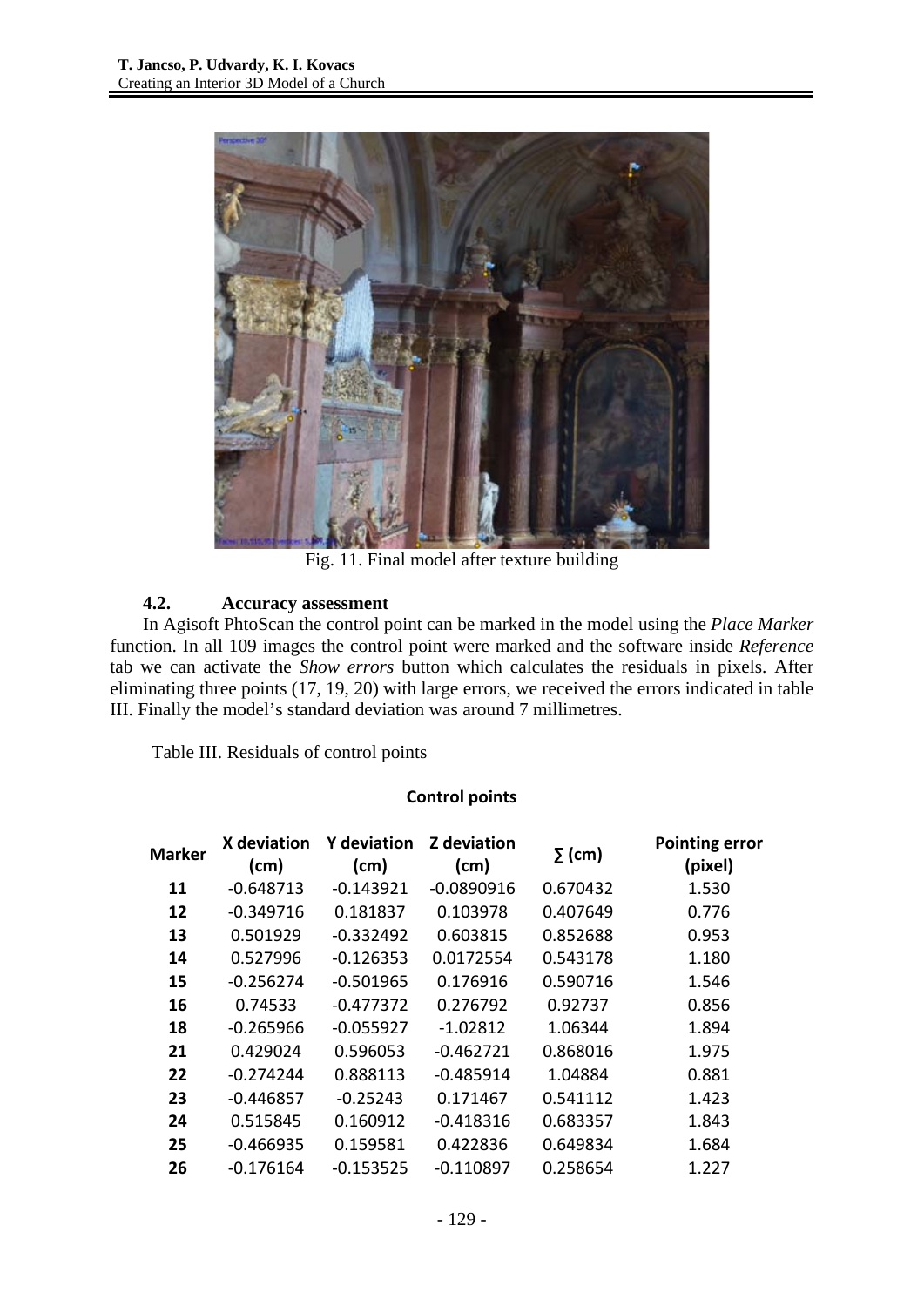

Fig. 11. Final model after texture building

# **4.2. Accuracy assessment**

In Agisoft PhtoScan the control point can be marked in the model using the *Place Marker* function. In all 109 images the control point were marked and the software inside *Reference* tab we can activate the *Show errors* button which calculates the residuals in pixels. After eliminating three points (17, 19, 20) with large errors, we received the errors indicated in table III. Finally the model's standard deviation was around 7 millimetres.

Table III. Residuals of control points

### **Control points**

| Marker | X deviation<br>(cm) | <b>Y</b> deviation<br>(cm) | <b>Z</b> deviation<br>(cm) | $\Sigma$ (cm) | <b>Pointing error</b><br>(pixel) |
|--------|---------------------|----------------------------|----------------------------|---------------|----------------------------------|
| 11     | $-0.648713$         | $-0.143921$                | $-0.0890916$               | 0.670432      | 1.530                            |
| 12     | $-0.349716$         | 0.181837                   | 0.103978                   | 0.407649      | 0.776                            |
| 13     | 0.501929            | $-0.332492$                | 0.603815                   | 0.852688      | 0.953                            |
| 14     | 0.527996            | $-0.126353$                | 0.0172554                  | 0.543178      | 1.180                            |
| 15     | $-0.256274$         | $-0.501965$                | 0.176916                   | 0.590716      | 1.546                            |
| 16     | 0.74533             | $-0.477372$                | 0.276792                   | 0.92737       | 0.856                            |
| 18     | $-0.265966$         | $-0.055927$                | $-1.02812$                 | 1.06344       | 1.894                            |
| 21     | 0.429024            | 0.596053                   | $-0.462721$                | 0.868016      | 1.975                            |
| 22     | $-0.274244$         | 0.888113                   | $-0.485914$                | 1.04884       | 0.881                            |
| 23     | $-0.446857$         | $-0.25243$                 | 0.171467                   | 0.541112      | 1.423                            |
| 24     | 0.515845            | 0.160912                   | $-0.418316$                | 0.683357      | 1.843                            |
| 25     | $-0.466935$         | 0.159581                   | 0.422836                   | 0.649834      | 1.684                            |
| 26     | $-0.176164$         | $-0.153525$                | $-0.110897$                | 0.258654      | 1.227                            |